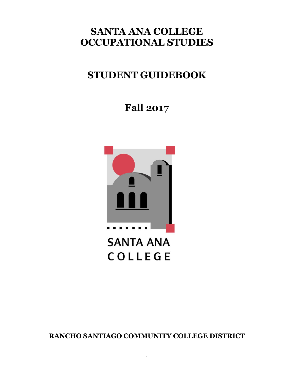## **SANTA ANA COLLEGE OCCUPATIONAL STUDIES**

# **STUDENT GUIDEBOOK**

**Fall 2017**



**RANCHO SANTIAGO COMMUNITY COLLEGE DISTRICT**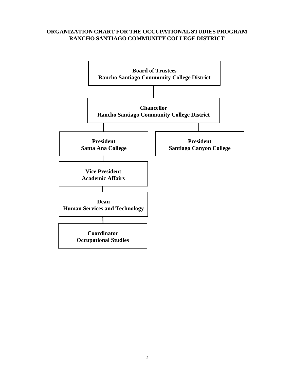#### **ORGANIZATION CHART FOR THE OCCUPATIONAL STUDIES PROGRAM RANCHO SANTIAGO COMMUNITY COLLEGE DISTRICT**

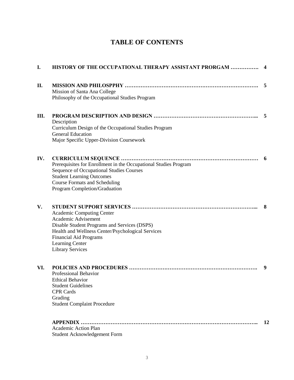## **TABLE OF CONTENTS**

| I.  | HISTORY OF THE OCCUPATIONAL THERAPY ASSISTANT PRORGAM                                                                                                                                                                                       | 4  |
|-----|---------------------------------------------------------------------------------------------------------------------------------------------------------------------------------------------------------------------------------------------|----|
| II. | Mission of Santa Ana College<br>Philosophy of the Occupational Studies Program                                                                                                                                                              | 5  |
| Ш.  | Description<br>Curriculum Design of the Occupational Studies Program<br><b>General Education</b><br>Major Specific Upper-Division Coursework                                                                                                | 5  |
| IV. | Prerequisites for Enrollment in the Occupational Studies Program<br><b>Sequence of Occupational Studies Courses</b><br><b>Student Learning Outcomes</b><br><b>Course Formats and Scheduling</b><br>Program Completion/Graduation            | 6  |
| V.  | <b>Academic Computing Center</b><br>Academic Advisement<br>Disable Student Programs and Services (DSPS)<br>Health and Wellness Center/Psychological Services<br><b>Financial Aid Programs</b><br>Learning Center<br><b>Library Services</b> | 8  |
| VI. | Professional Behavior<br><b>Ethical Behavior</b><br><b>Student Guidelines</b><br><b>CPR Cards</b><br>Grading<br><b>Student Complaint Procedure</b>                                                                                          | 9  |
|     | <b>Academic Action Plan</b><br>Student Acknowledgement Form                                                                                                                                                                                 | 12 |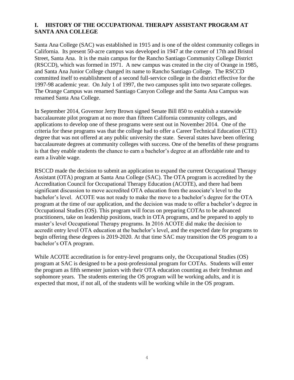## **I. HISTORY OF THE OCCUPATIONAL THERAPY ASSISTANT PROGRAM AT SANTA ANA COLLEGE**

Santa Ana College (SAC) was established in 1915 and is one of the oldest community colleges in California. Its present 50-acre campus was developed in 1947 at the corner of 17th and Bristol Street, Santa Ana. It is the main campus for the Rancho Santiago Community College District (RSCCD), which was formed in 1971. A new campus was created in the city of Orange in 1985, and Santa Ana Junior College changed its name to Rancho Santiago College. The RSCCD committed itself to establishment of a second full-service college in the district effective for the 1997-98 academic year. On July 1 of 1997, the two campuses split into two separate colleges. The Orange Campus was renamed Santiago Canyon College and the Santa Ana Campus was renamed Santa Ana College.

In September 2014, Governor Jerry Brown signed Senate Bill 850 to establish a statewide baccalaureate pilot program at no more than fifteen California community colleges, and applications to develop one of these programs were sent out in November 2014. One of the criteria for these programs was that the college had to offer a Career Technical Education (CTE) degree that was not offered at any public university the state. Several states have been offering baccalaureate degrees at community colleges with success. One of the benefits of these programs is that they enable students the chance to earn a bachelor's degree at an affordable rate and to earn a livable wage.

RSCCD made the decision to submit an application to expand the current Occupational Therapy Assistant (OTA) program at Santa Ana College (SAC). The OTA program is accredited by the Accreditation Council for Occupational Therapy Education (ACOTE), and there had been significant discussion to move accredited OTA education from the associate's level to the bachelor's level. ACOTE was not ready to make the move to a bachelor's degree for the OTA program at the time of our application, and the decision was made to offer a bachelor's degree in Occupational Studies (OS). This program will focus on preparing COTAs to be advanced practitioners, take on leadership positions, teach in OTA programs, and be prepared to apply to master's level Occupational Therapy programs. In 2016 ACOTE did make the decision to accredit entry level OTA education at the bachelor's level, and the expected date for programs to begin offering these degrees is 2019-2020. At that time SAC may transition the OS program to a bachelor's OTA program.

While ACOTE accreditation is for entry-level programs only, the Occupational Studies (OS) program at SAC is designed to be a post-professional program for COTAs. Students will enter the program as fifth semester juniors with their OTA education counting as their freshman and sophomore years. The students entering the OS program will be working adults, and it is expected that most, if not all, of the students will be working while in the OS program.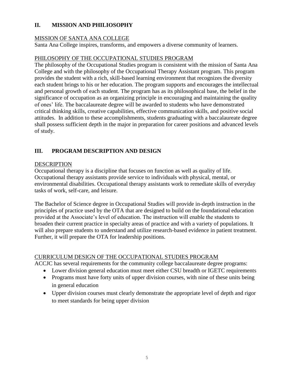## **II. MISSION AND PHILIOSOPHY**

#### MISSION OF SANTA ANA COLLEGE

Santa Ana College inspires, transforms, and empowers a diverse community of learners.

#### PHILOSOPHY OF THE OCCUPATIONAL STUDIES PROGRAM

The philosophy of the Occupational Studies program is consistent with the mission of Santa Ana College and with the philosophy of the Occupational Therapy Assistant program. This program provides the student with a rich, skill-based learning environment that recognizes the diversity each student brings to his or her education. The program supports and encourages the intellectual and personal growth of each student. The program has as its philosophical base, the belief in the significance of occupation as an organizing principle in encouraging and maintaining the quality of ones' life. The baccalaureate degree will be awarded to students who have demonstrated critical thinking skills, creative capabilities, effective communication skills, and positive social attitudes. In addition to these accomplishments, students graduating with a baccalaureate degree shall possess sufficient depth in the major in preparation for career positions and advanced levels of study.

## **III. PROGRAM DESCRIPTION AND DESIGN**

#### DESCRIPTION

Occupational therapy is a discipline that focuses on function as well as quality of life. Occupational therapy assistants provide service to individuals with physical, mental, or environmental disabilities. Occupational therapy assistants work to remediate skills of everyday tasks of work, self-care, and leisure.

The Bachelor of Science degree in Occupational Studies will provide in-depth instruction in the principles of practice used by the OTA that are designed to build on the foundational education provided at the Associate's level of education. The instruction will enable the students to broaden their current practice in specialty areas of practice and with a variety of populations. It will also prepare students to understand and utilize research-based evidence in patient treatment. Further, it will prepare the OTA for leadership positions.

#### CURRICULUM DESIGN OF THE OCCUPATIONAL STUDIES PROGRAM

ACCJC has several requirements for the community college baccalaureate degree programs:

- Lower division general education must meet either CSU breadth or IGETC requirements
- Programs must have forty units of upper division courses, with nine of these units being in general education
- Upper division courses must clearly demonstrate the appropriate level of depth and rigor to meet standards for being upper division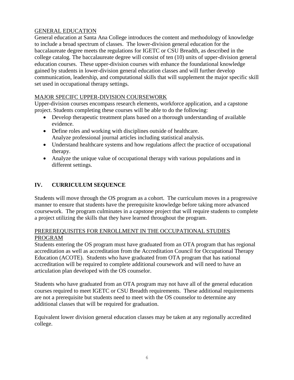## GENERAL EDUCATION

General education at Santa Ana College introduces the content and methodology of knowledge to include a broad spectrum of classes. The lower-division general education for the baccalaureate degree meets the regulations for IGETC or CSU Breadth, as described in the college catalog. The baccalaureate degree will consist of ten (10) units of upper-division general education courses. These upper-division courses with enhance the foundational knowledge gained by students in lower-division general education classes and will further develop communication, leadership, and computational skills that will supplement the major specific skill set used in occupational therapy settings.

## MAJOR SPECIFC UPPER-DIVISION COURSEWORK

Upper-division courses encompass research elements, workforce application, and a capstone project. Students completing these courses will be able to do the following:

- Develop therapeutic treatment plans based on a thorough understanding of available evidence.
- Define roles and working with disciplines outside of healthcare. Analyze professional journal articles including statistical analysis.
- Understand healthcare systems and how regulations affect the practice of occupational therapy.
- Analyze the unique value of occupational therapy with various populations and in different settings.

## **IV. CURRICULUM SEQUENCE**

Students will move through the OS program as a cohort. The curriculum moves in a progressive manner to ensure that students have the prerequisite knowledge before taking more advanced coursework. The program culminates in a capstone project that will require students to complete a project utilizing the skills that they have learned throughout the program.

#### PREREREQUISITES FOR ENROLLMENT IN THE OCCUPATIONAL STUDIES PROGRAM

Students entering the OS program must have graduated from an OTA program that has regional accreditation as well as accreditation from the Accreditation Council for Occupational Therapy Education (ACOTE). Students who have graduated from OTA program that has national accreditation will be required to complete additional coursework and will need to have an articulation plan developed with the OS counselor.

Students who have graduated from an OTA program may not have all of the general education courses required to meet IGETC or CSU Breadth requirements. These additional requirements are not a prerequisite but students need to meet with the OS counselor to determine any additional classes that will be required for graduation.

Equivalent lower division general education classes may be taken at any regionally accredited college.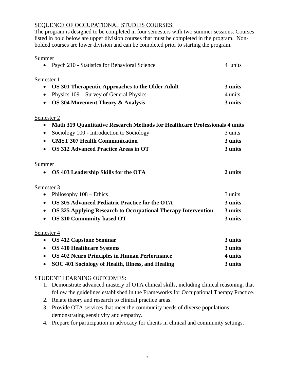## SEQUENCE OF OCCUPATIONAL STUDIES COURSES:

The program is designed to be completed in four semesters with two summer sessions. Courses listed in bold below are upper division courses that must be completed in the program. Nonbolded courses are lower division and can be completed prior to starting the program.

| Summer                                                             |                                                                                    |  |  |
|--------------------------------------------------------------------|------------------------------------------------------------------------------------|--|--|
| Psych 210 - Statistics for Behavioral Science<br>$\bullet$         | 4 units                                                                            |  |  |
| Semester 1                                                         |                                                                                    |  |  |
| OS 301 Therapeutic Approaches to the Older Adult<br>$\bullet$      | 3 units                                                                            |  |  |
| Physics 109 – Survey of General Physics                            | 4 units                                                                            |  |  |
| <b>OS 304 Movement Theory &amp; Analysis</b><br>$\bullet$          | 3 units                                                                            |  |  |
| Semester 2                                                         |                                                                                    |  |  |
| $\bullet$                                                          | <b>Math 319 Quantitative Research Methods for Healthcare Professionals 4 units</b> |  |  |
| Sociology 100 - Introduction to Sociology                          | 3 units                                                                            |  |  |
| <b>CMST 307 Health Communication</b><br>$\bullet$                  | 3 units                                                                            |  |  |
| <b>OS 312 Advanced Practice Areas in OT</b><br>$\bullet$           | 3 units                                                                            |  |  |
| <b>Summer</b>                                                      |                                                                                    |  |  |
| OS 403 Leadership Skills for the OTA                               | 2 units                                                                            |  |  |
| Semester 3                                                         |                                                                                    |  |  |
| Philosophy $108 -$ Ethics                                          | 3 units                                                                            |  |  |
| OS 305 Advanced Pediatric Practice for the OTA<br>$\bullet$        | 3 units                                                                            |  |  |
| OS 325 Applying Research to Occupational Therapy Intervention<br>٠ | 3 units                                                                            |  |  |
| <b>OS 310 Community-based OT</b><br>$\bullet$                      | 3 units                                                                            |  |  |

Semester 4

| • OS 412 Capstone Seminar                           | 3 units |
|-----------------------------------------------------|---------|
| • OS 410 Healthcare Systems                         | 3 units |
| • OS 402 Neuro Principles in Human Performance      | 4 units |
| • SOC 401 Sociology of Health, Illness, and Healing | 3 units |

## STUDENT LEARNING OUTCOMES:

- 1. Demonstrate advanced mastery of OTA clinical skills, including clinical reasoning, that follow the guidelines established in the Frameworks for Occupational Therapy Practice.
- 2. Relate theory and research to clinical practice areas.
- 3. Provide OTA services that meet the community needs of diverse populations demonstrating sensitivity and empathy.
- 4. Prepare for participation in advocacy for clients in clinical and community settings.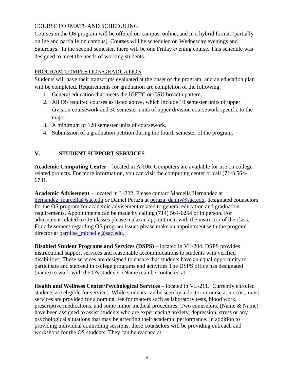## COURSE FORMATS AND SCHEDULING

Courses in the OS program will be offered on-campus, online, and in a hybrid format (partially online and partially on campus). Courses will be scheduled on Wednesday evenings and Saturdays. In the second semester, there will be one Friday evening course. This schedule was designed to meet the needs of working students.

## PROGRAM COMPLETION/GRADUATION

Students will have their transcripts evaluated at the onset of the program, and an education plan will be completed. Requirements for graduation are completion of the following:

- 1. General education that meets the IGETC or CSU breadth pattern.
- 2. All OS required courses as listed above, which include 10 semester units of upper division coursework and 30 semester units of upper division coursework specific to the major.
- 3. A minimum of 120 semester units of coursework.
- 4. Submission of a graduation petition during the fourth semester of the program.

## **V. STUDENT SUPPORT SERVICES**

**Academic Computing Center** – located in A-106. Computers are available for use on college related projects. For more information, you can visit the computing center or call (714) 564- 6731.

**Academic Advisement** – located in L-222. Please contact Marcella Hernandez at [hernandez\\_marcella@sac.edu](mailto:hernandez_marcella@sac.edu) or Daniel Peraza at [peraza\\_danny@sac.edu,](mailto:peraza_danny@sac.edu) designated counselors for the OS program for academic advisement related to general education and graduation requirements. Appointments can be made by calling (714) 564-6254 or in person. For advisement related to OS classes please make an appointment with the instructor of the class. For advisement regarding OS program issues please make an appointment with the program director at [parolise\\_michelle@sac.edu.](mailto:parolise_michelle@sac.edu)

**Disabled Student Programs and Services (DSPS)** – located in VL-204. DSPS provides instructional support services and reasonable accommodations to students with verified disabilities. These services are designed to ensure that students have an equal opportunity to participate and succeed in college programs and activities The DSPS office has designated (name) to work with the OS students. (Name) can be contacted at

**Health and Wellness Center/Psychological Services** – located in VL-211. Currently enrolled students are eligible for services. While students can be seen by a doctor or nurse at no cost, most services are provided for a nominal fee for matters such as laboratory tests, blood work, prescriptive medications, and some minor medical procedures. Two counselors, (Name & Name) have been assigned to assist students who are experiencing anxiety, depression, stress or any psychological situations that may be affecting their academic performance. In addition to providing individual counseling sessions, these counselors will be providing outreach and workshops for the OS students. They can be reached at: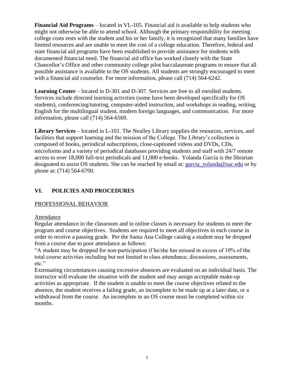**Financial Aid Programs** – located in VL-105. Financial aid is available to help students who might not otherwise be able to attend school. Although the primary responsibility for meeting college costs rests with the student and his or her family, it is recognized that many families have limited resources and are unable to meet the cost of a college education. Therefore, federal and state financial aid programs have been established to provide assistance for students with documented financial need. The financial aid office has worked closely with the State Chancellor's Office and other community college pilot baccalaureate programs to ensure that all possible assistance is available to the OS students. All students are strongly encouraged to meet with a financial aid counselor. For more information, please call (714) 564-6242.

**Learning Center** – located in D-301 and D-307. Services are free to all enrolled students. Services include directed learning activities (some have been developed specifically for OS students), conferencing/tutoring, computer-aided instruction, and workshops in reading, writing, English for the multilingual student, modern foreign languages, and communication. For more information, please call (714) 564-6569.

**Library Services** – located in L-101. The Nealley Library supplies the resources, services, and facilities that support learning and the mission of the College. The Library's collection is composed of books, periodical subscriptions, close-captioned videos and DVDs, CDs, microforms and a variety of periodical databases providing students and staff with 24/7 remote access to over 18,000 full-text periodicals and 11,000 e-books. Yolanda Garcia is the librarian designated to assist OS students. She can be reached by email at: [garcia\\_yolanda@sac.edu](mailto:garcia_yolanda@sac.edu) or by phone at: (714) 564-6700.

## **VI. POLICIES AND PROCEDURES**

## PROFESSIONAL BEHAVIOR

#### Attendance

Regular attendance in the classroom and in online classes is necessary for students to meet the program and course objectives. Students are required to meet all objectives in each course in order to receive a passing grade. Per the Santa Ana College catalog a student may be dropped from a course due to poor attendance as follows:

"A student may be dropped for non-participation if he/she has missed in excess of 10% of the total course activities including but not limited to class attendance, discussions, assessments, etc."

Extenuating circumstances causing excessive absences are evaluated on an individual basis. The instructor will evaluate the situation with the student and may assign acceptable make-up activities as appropriate. If the student is unable to meet the course objectives related to the absence, the student receives a failing grade, an incomplete to be made up at a later date, or a withdrawal from the course. An incomplete in an OS course must be completed within six months.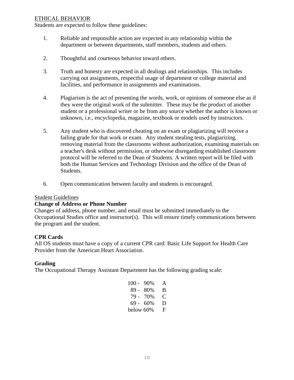#### ETHICAL BEHAVIOR

Students are expected to follow these guidelines:

- 1. Reliable and responsible action are expected in any relationship within the department or between departments, staff members, students and others.
- 2. Thoughtful and courteous behavior toward others.
- 3. Truth and honesty are expected in all dealings and relationships. This includes carrying out assignments, respectful usage of department or college material and facilities, and performance in assignments and examinations.
- 4. Plagiarism is the act of presenting the words, work, or opinions of someone else as if they were the original work of the submitter. These may be the product of another student or a professional writer or be from any source whether the author is known or unknown, i.e., encyclopedia, magazine, textbook or models used by instructors.
- 5. Any student who is discovered cheating on an exam or plagiarizing will receive a failing grade for that work or exam. Any student stealing tests, plagiarizing, removing material from the classrooms without authorization, examining materials on a teacher's desk without permission, or otherwise disregarding established classroom protocol will be referred to the Dean of Students. A written report will be filed with both the Human Services and Technology Division and the office of the Dean of Students.
- 6. Open communication between faculty and students is encouraged.

#### Student Guidelines

#### **Change of Address or Phone Number**

Changes of address, phone number, and email must be submitted immediately to the Occupational Studies office and instructor(s). This will ensure timely communications between the program and the student.

## **CPR Cards**

All OS students must have a copy of a current CPR card: Basic Life Support for Health Care Provider from the American Heart Association.

## **Grading**

The Occupational Therapy Assistant Department has the following grading scale:

| $100 -$   | 90%  | A |
|-----------|------|---|
| 89 -      | 80%  | B |
| 79 -      | 70\% | € |
| 69 -      | 60%  | D |
| below 60% |      | F |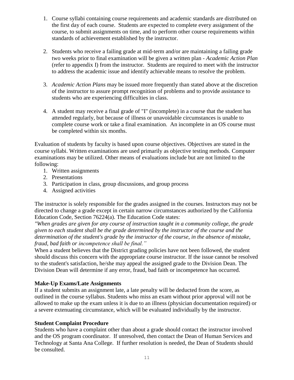- 1. Course syllabi containing course requirements and academic standards are distributed on the first day of each course. Students are expected to complete every assignment of the course, to submit assignments on time, and to perform other course requirements within standards of achievement established by the instructor.
- 2. Students who receive a failing grade at mid-term and/or are maintaining a failing grade two weeks prior to final examination will be given a written plan - *Academic Action Plan* (refer to appendix I) from the instructor. Students are required to meet with the instructor to address the academic issue and identify achievable means to resolve the problem.
- 3. *Academic Action Plans* may be issued more frequently than stated above at the discretion of the instructor to assure prompt recognition of problems and to provide assistance to students who are experiencing difficulties in class.
- 4. A student may receive a final grade of "I" (incomplete) in a course that the student has attended regularly, but because of illness or unavoidable circumstances is unable to complete course work or take a final examination. An incomplete in an OS course must be completed within six months.

Evaluation of students by faculty is based upon course objectives. Objectives are stated in the course syllabi. Written examinations are used primarily as objective testing methods. Computer examinations may be utilized. Other means of evaluations include but are not limited to the following:

- 1. Written assignments
- 2. Presentations
- 3. Participation in class, group discussions, and group process
- 4. Assigned activities

The instructor is solely responsible for the grades assigned in the courses. Instructors may not be directed to change a grade except in certain narrow circumstances authorized by the California Education Code, Section 76224(a). The Education Code states:

*"When grades are given for any course of instruction taught in a community college, the grade given to each student shall be the grade determined by the instructor of the course and the determination of the student's grade by the instructor of the course, in the absence of mistake, fraud, bad faith or incompetence shall be final."*

When a student believes that the District grading policies have not been followed, the student should discuss this concern with the appropriate course instructor. If the issue cannot be resolved to the student's satisfaction, he/she may appeal the assigned grade to the Division Dean. The Division Dean will determine if any error, fraud, bad faith or incompetence has occurred.

## **Make-Up Exams/Late Assignments**

If a student submits an assignment late, a late penalty will be deducted from the score, as outlined in the course syllabus. Students who miss an exam without prior approval will not be allowed to make up the exam unless it is due to an illness (physician documentation required) or a severe extenuating circumstance, which will be evaluated individually by the instructor.

## **Student Complaint Procedure**

Students who have a complaint other than about a grade should contact the instructor involved and the OS program coordinator. If unresolved, then contact the Dean of Human Services and Technology at Santa Ana College. If further resolution is needed, the Dean of Students should be consulted.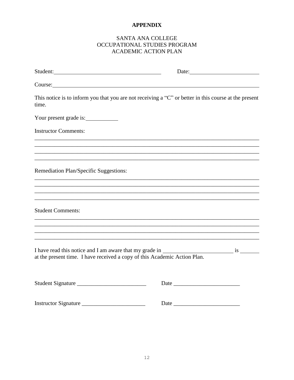## **APPENDIX**

## SANTA ANA COLLEGE OCCUPATIONAL STUDIES PROGRAM ACADEMIC ACTION PLAN

| Student:                                                                                                                   |                                                                                                       |
|----------------------------------------------------------------------------------------------------------------------------|-------------------------------------------------------------------------------------------------------|
| Course:                                                                                                                    |                                                                                                       |
| time.                                                                                                                      | This notice is to inform you that you are not receiving a "C" or better in this course at the present |
| Your present grade is:                                                                                                     |                                                                                                       |
| <b>Instructor Comments:</b>                                                                                                | ,我们也不会有什么。""我们的人,我们也不会有什么?""我们的人,我们也不会有什么?""我们的人,我们也不会有什么?""我们的人,我们也不会有什么?""我们的人                      |
|                                                                                                                            |                                                                                                       |
| ,我们也不会有什么。""我们的人,我们也不会有什么?""我们的人,我们也不会有什么?""我们的人,我们的人,我们也不会有什么?""我们的人,我们的人,我们也不会<br>Remediation Plan/Specific Suggestions: |                                                                                                       |
|                                                                                                                            |                                                                                                       |
| <b>Student Comments:</b>                                                                                                   |                                                                                                       |
|                                                                                                                            | ,我们也不能在这里的时候,我们也不能在这里的时候,我们也不能会在这里的时候,我们也不能会在这里的时候,我们也不能会在这里的时候,我们也不能会在这里的时候,我们也不                     |
| at the present time. I have received a copy of this Academic Action Plan.                                                  |                                                                                                       |
| Student Signature                                                                                                          |                                                                                                       |
| Instructor Signature                                                                                                       |                                                                                                       |